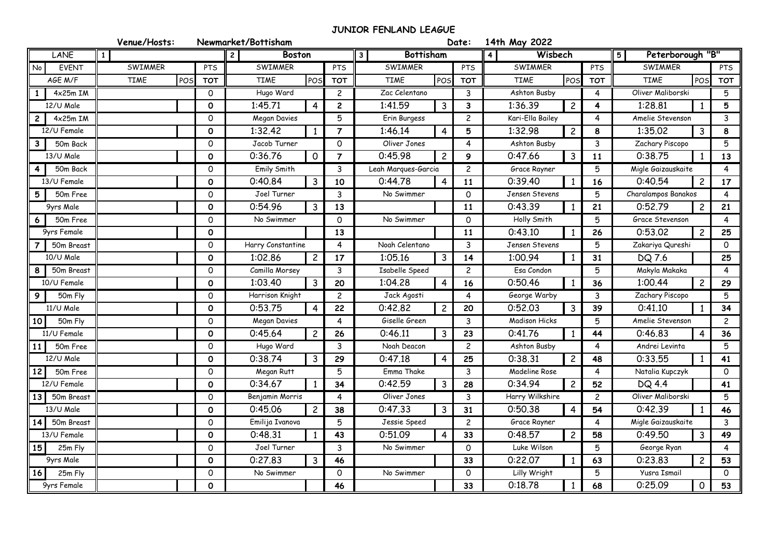## **JUNIOR FENLAND LEAGUE**

|                    | Venue/Hosts:       |                     | Newmarket/Bottisham       |                |                                  | Date:                                 | 14th May 2022                      |                         |                                      |                |  |
|--------------------|--------------------|---------------------|---------------------------|----------------|----------------------------------|---------------------------------------|------------------------------------|-------------------------|--------------------------------------|----------------|--|
| <b>LANE</b>        | $\mathbf{1}$       |                     | <b>Boston</b>             |                | <b>Bottisham</b><br>$\mathbf{3}$ |                                       | Wisbech<br>$\overline{\mathbf{4}}$ |                         | Peterborough "B"<br>$\overline{5}$   |                |  |
| <b>EVENT</b><br>No | <b>SWIMMER</b>     | <b>PTS</b>          | SWIMMER                   | <b>PTS</b>     |                                  | SWIMMER<br><b>PTS</b>                 |                                    | PTS                     | <b>SWIMMER</b>                       | PTS            |  |
| AGE M/F            | <b>TIME</b><br>POS | <b>TOT</b>          | <b>TIME</b><br>POS        | <b>TOT</b>     | <b>TIME</b><br>POS               | <b>TOT</b>                            | <b>TIME</b><br>POS                 | <b>TOT</b>              | POS<br><b>TIME</b>                   | <b>TOT</b>     |  |
| 4x25m IM           |                    | $\circ$             | Hugo Ward<br>$\mathbf{2}$ |                | Zac Celentano                    | 3                                     | Ashton Busby                       | 4                       | Oliver Maliborski                    | 5              |  |
| 12/U Male          |                    | $\mathbf 0$         | 1:45.71<br>$\overline{4}$ | $\overline{2}$ | 1:41.59<br>$\mathbf{3}$          | 3                                     | 1:36.39<br>$\overline{c}$          | $\overline{\mathbf{4}}$ | 1:28.81<br>1                         | 5              |  |
| $4x25m$ IM         |                    | $\mathsf{O}$        | 5<br>Megan Davies         |                | Erin Burgess<br>$\overline{c}$   |                                       | Kari-Ella Bailey                   | $\overline{4}$          | $\mathbf{3}$<br>Amelie Stevenson     |                |  |
| 12/U Female        |                    | $\mathbf 0$         | 1:32.42<br>$\mathbf{1}$   | $\overline{7}$ | 1:46.14<br>$\overline{4}$        | 5                                     | 1:32.98<br>$\overline{c}$          | 8                       | 1:35.02<br>$\mathbf{3}$              | 8              |  |
| 50m Back           |                    | $\mathsf{O}$        | Jacob Turner              | $\Omega$       | Oliver Jones                     | 4                                     | Ashton Busby                       | $\mathbf{3}$            | Zachary Piscopo                      | 5              |  |
| 13/U Male          |                    | $\mathbf{o}$        | 0:36.76<br>$\mathbf 0$    | $\overline{7}$ | 0:45.98<br>$\overline{c}$        | 9                                     | 0:47.66<br>$\mathbf{3}$            | 11                      | 0:38.75<br>$\mathbf{1}$              | 13             |  |
| 50m Back           |                    | $\mathsf{O}\xspace$ | Emily Smith               | 3              |                                  | Leah Marques-Garcia<br>$\overline{c}$ |                                    | 5                       | Migle Gaizauskaite<br>$\overline{4}$ |                |  |
| 13/U Female        |                    | $\mathbf 0$         | 0:40.84<br>3              | 10             | 0:44.78<br>$\overline{4}$        | 11                                    | 0:39.40                            | 16                      | 0:40.54<br>$\overline{c}$            | 17             |  |
| 5<br>50m Free      |                    | $\mathsf{O}$        | Joel Turner               | $\mathbf{3}$   | No Swimmer                       | $\Omega$                              | Jensen Stevens                     | 5                       | Charalampos Banakos                  | $\overline{4}$ |  |
| 9yrs Male          |                    | $\mathbf{o}$        | 0:54.96<br>$\mathbf{3}$   | 13             |                                  | 11                                    | 0:43.39                            | 21                      | 0:52.79<br>$\overline{c}$            | 21             |  |
| 50m Free<br>6      |                    | $\mathsf{O}\xspace$ | No Swimmer                | $\mathbf 0$    | No Swimmer                       | $\mathbf 0$                           | Holly Smith                        | 5                       | Grace Stevenson                      | $\overline{4}$ |  |
| 9yrs Female        |                    | $\mathbf 0$         |                           | 13             |                                  | 11                                    | 0:43.10                            | 26                      | $\overline{c}$<br>0:53.02            | 25             |  |
| 50m Breast         |                    | $\mathsf{o}$        | Harry Constantine         | $\overline{4}$ |                                  | Noah Celentano<br>3                   |                                    | 5                       | Zakariya Qureshi<br>$\circ$          |                |  |
| 10/U Male          |                    | $\mathbf 0$         | 1:02.86<br>$\overline{c}$ | 17             | $\mathbf{3}$<br>1:05.16          | 14                                    | 1:00.94                            | 31                      | DQ 7.6                               | 25             |  |
| 50m Breast         |                    | $\mathsf{O}\xspace$ | Camilla Morsey            | 3              | Isabelle Speed                   | $\overline{c}$                        | Esa Condon                         | 5                       | Makyla Makaka                        | $\overline{4}$ |  |
| 10/U Female        |                    | $\mathbf 0$         | 1:03.40<br>3              | 20             | 1:04.28<br>$\overline{4}$        | 16                                    | 0:50.46                            | 36                      | 1:00.44<br>$\overline{c}$            | 29             |  |
| 50m Fly            |                    | $\mathsf{O}\xspace$ | Harrison Knight           | $\overline{c}$ | Jack Agosti                      | 4                                     | George Warby                       | 3 <sup>1</sup>          | Zachary Piscopo                      | 5              |  |
| 11/U Male          |                    | $\mathbf 0$         | 0:53.75<br>$\overline{4}$ | 22             | $\overline{c}$<br>0:42.82        | 20                                    | 0:52.03<br>3                       | 39                      | 0:41.10<br>1                         | 34             |  |
| 50m Fly<br>10      |                    | $\mathsf{O}$        | Megan Davies              | 4              | Giselle Green<br>3               |                                       | <b>Madison Hicks</b>               | 5                       | Amelie Stevenson<br>$\overline{c}$   |                |  |
| 11/U Female        |                    | $\mathbf 0$         | 0:45.64<br>$\overline{c}$ | 26             | 0:46.11<br>$\overline{3}$        | 23                                    | 0:41.76                            | 44                      | 0:46.83<br>4                         | 36             |  |
| 50m Free           |                    | $\mathsf{O}\xspace$ | Hugo Ward                 | 3              | Noah Deacon                      | $\overline{c}$                        | Ashton Busby                       | $\overline{4}$          | Andrei Levinta                       | 5              |  |
| 12/U Male          |                    | $\mathbf 0$         | 0:38.74<br>3              | 29             | 0:47.18<br>$\overline{4}$        | 25                                    | 0:38.31<br>$\overline{2}$          | 48                      | 0:33.55<br>$\mathbf{1}$              | 41             |  |
| 12<br>50m Free     |                    | $\mathsf{O}$        | Megan Rutt                | 5              | Emma Thake                       | $\mathbf{3}$                          | Madeline Rose                      | $\overline{4}$          | Natalia Kupczyk                      | $\mathsf{O}$   |  |
| 12/U Female        |                    | $\mathbf 0$         | 0:34.67<br>$\mathbf{1}$   | 34             | 0:42.59<br>$\mathbf{3}$          | 28                                    | $\overline{2}$<br>0:34.94          | 52                      | DQ 4.4<br>Oliver Maliborski          | 41             |  |
| 13<br>50m Breast   |                    | $\mathsf{o}$        | Benjamin Morris           | $\overline{4}$ |                                  | 3                                     | Harry Wilkshire                    | $\mathbf{2}$            |                                      | 5              |  |
| 13/U Male          |                    | $\mathbf 0$         | 0:45.06<br>$\overline{c}$ | 38             | $\mathbf{3}$<br>0:47.33          | 31                                    | 0:50.38<br>4                       | 54                      | 0:42.39<br>$\mathbf{1}$              | 46             |  |
| 50m Breast<br>14   |                    | $\mathsf{o}$        | Emilija Ivanova           | 5              | Jessie Speed                     | $\overline{c}$                        | Grace Rayner                       | $\overline{4}$          | Migle Gaizauskaite                   | 3              |  |
| 13/U Female        |                    | $\mathbf 0$         | 0:48.31<br>$\mathbf{1}$   | 43             | 0:51.09<br>$\overline{4}$        | 33                                    | 0:48.57<br>$\overline{2}$          | 58                      | 0:49.50<br>$\mathbf{3}$              | 49             |  |
| 15<br>25m Fly      |                    | $\mathsf{O}$        | Joel Turner               | $\mathbf{3}$   | No Swimmer                       | $\mathsf{O}$                          | Luke Wilson                        | 5                       | George Ryan                          | $\overline{4}$ |  |
| 9yrs Male          |                    | $\mathbf 0$         | 0:27.83<br>$\mathbf{3}$   | 46             |                                  | 33                                    | 0:22.07                            | 63                      | 0:23.83<br>$\overline{c}$            | 53             |  |
| 25m Fly<br>16      |                    | $\mathsf{O}\xspace$ | No Swimmer                | $\mathbf 0$    | No Swimmer                       | 0                                     | Lilly Wright                       | 5                       | Yusra Ismail                         | $\mathbf{0}$   |  |
| 9yrs Female        |                    | $\mathbf 0$         |                           | 46             |                                  | 33                                    | 0:18.78                            | 68                      | $\mathsf{O}$<br>0:25.09              | 53             |  |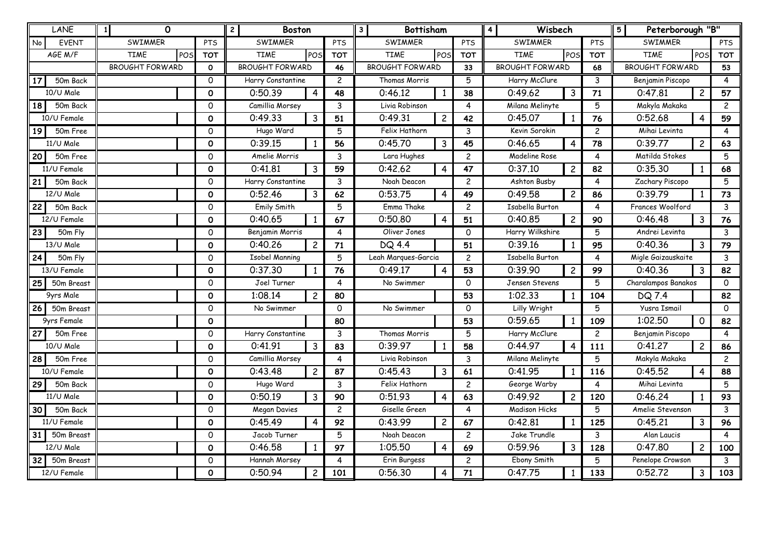| LANE               | 0<br>$\mathbf{1}$      |             | <b>Boston</b><br>$\mathbf{2}$ |                |                | <b>Bottisham</b><br>$\mathbf{3}$ |                |                        | Wisbech<br>$\overline{\mathbf{4}}$ |                |                        | Peterborough "B"<br>5 |                |              |
|--------------------|------------------------|-------------|-------------------------------|----------------|----------------|----------------------------------|----------------|------------------------|------------------------------------|----------------|------------------------|-----------------------|----------------|--------------|
| No<br><b>EVENT</b> | SWIMMER                | <b>PTS</b>  | SWIMMER                       |                | <b>PTS</b>     | SWIMMER                          |                | <b>PTS</b>             | SWIMMER                            |                | PTS                    | SWIMMER               |                | PTS          |
| AGE M/F            | <b>TIME</b><br>POS     | <b>TOT</b>  | <b>TIME</b>                   | POS            | <b>TOT</b>     | <b>TIME</b>                      | POS            | <b>TOT</b>             | <b>TIME</b>                        | POS            | <b>TOT</b>             | <b>TIME</b>           | POS            | <b>TOT</b>   |
|                    | <b>BROUGHT FORWARD</b> | 0           | <b>BROUGHT FORWARD</b>        |                | 46             | <b>BROUGHT FORWARD</b><br>33     |                | <b>BROUGHT FORWARD</b> |                                    | 68             | <b>BROUGHT FORWARD</b> |                       | 53             |              |
| 17<br>50m Back     |                        | 0           | Harry Constantine             |                | $\overline{c}$ | $\overline{5}$<br>Thomas Morris  |                | Harry McClure          |                                    | 3              | Benjamin Piscopo       |                       | $\overline{4}$ |              |
| 10/U Male          |                        | $\mathbf 0$ | 0:50.39                       | 4              | 48             | 0:46.12                          | 1              | 38                     | 0:49.62                            | 3              | 71                     | 0:47.81               | $\overline{c}$ | 57           |
| 18 I<br>50m Back   |                        | $\Omega$    | Camillia Morsey               |                | 3              | Livia Robinson<br>4              |                | Milana Melinyte        |                                    | 5              | Makyla Makaka          |                       | $\overline{c}$ |              |
| 10/U Female        |                        | $\Omega$    | 0:49.33                       | 3              | 51             | 0:49.31                          | $\overline{c}$ | 42                     | 0:45.07                            | 1              | 76                     | 0:52.68               | 4              | 59           |
| 19<br>50m Free     |                        | 0           | Hugo Ward                     |                | 5              | Felix Hathorn<br>3               |                |                        | Kevin Sorokin<br>$\overline{c}$    |                | Mihai Levinta          |                       | 4              |              |
| 11/U Male          |                        | 0           | 0:39.15                       | $\mathbf{1}$   | 56             | $\overline{3}$<br>0:45.70<br>45  |                |                        | 0:46.65                            | 4              | 78                     | 0:39.77               | $\overline{c}$ | 63           |
| 20<br>50m Free     |                        | 0           | Amelie Morris                 |                | 3              | Lara Hughes                      |                | $\overline{c}$         | Madeline Rose<br>4                 |                | Matilda Stokes         |                       | 5              |              |
| 11/U Female        |                        | $\Omega$    | 0:41.81                       | 3              | 59             | 0:42.62                          | $\overline{4}$ | 47                     | 0:37.10                            | $\overline{c}$ | 82                     | 0:35.30               |                | 68           |
| 21<br>50m Back     |                        | 0           | Harry Constantine             |                | 3              | $\overline{c}$<br>Noah Deacon    |                |                        | Ashton Busby                       |                | 4                      | Zachary Piscopo       |                | 5            |
| 12/U Male          |                        | $\mathbf 0$ | 0:52.46                       | 3              | 62             | 0:53.75                          | $\overline{4}$ | 49                     | 0:49.58                            | $\overline{c}$ | 86                     | 0:39.79               | 1              | 73           |
| 50m Back<br>22     |                        | 0           | Emily Smith                   |                | 5              | Emma Thake                       |                | $\overline{c}$         | <b>Isabella Burton</b>             |                | 4                      | Frances Woolford      |                | 3            |
| 12/U Female        |                        | 0           | 0:40.65                       | $\mathbf{1}$   | 67             | 0:50.80                          | 4              | 51                     | 0:40.85                            | $\overline{c}$ | 90                     | 0:46.48               | 3              | 76           |
| 23<br>50m Fly      |                        | 0           | Benjamin Morris               |                | 4              | Oliver Jones                     |                | 0                      | Harry Wilkshire<br>5               |                |                        | Andrei Levinta        |                | 3            |
| 13/U Male          |                        | 0           | 0:40.26                       | $\overline{c}$ | 71             | DQ 4.4                           |                | 51                     | 0:39.16                            | 1              | 95                     | 0:40.36               | 3              | 79           |
| 50m Fly<br>24      |                        | $\Omega$    | <b>Isobel Manning</b>         |                | 5              | Leah Marques-Garcia              |                | $\overline{c}$         | Isabella Burton                    |                | $\overline{4}$         | Migle Gaizauskaite    |                | 3            |
| 13/U Female        |                        | 0           | 0:37.30                       | $\mathbf{1}$   | 76             | 0:49.17                          | $\overline{4}$ | 53                     | 0:39.90                            | $\overline{c}$ | 99                     | 0:40.36               | 3              | 82           |
| 25<br>50m Breast   |                        | 0           | Joel Turner                   |                | 4              | No Swimmer                       |                | $\mathsf{O}$           | 5<br>Jensen Stevens                |                |                        | Charalampos Banakos   |                | $\Omega$     |
| 9yrs Male          |                        | 0           | 1:08.14                       | $\overline{2}$ | 80             |                                  |                | 53                     | 1:02.33                            | 1              | 104                    | DQ 7.4                |                | 82           |
| 26<br>50m Breast   |                        | 0           | No Swimmer                    |                | 0              | No Swimmer                       |                | $\mathsf{O}$           | 5<br>Lilly Wright                  |                |                        | <b>Yusra Ismail</b>   |                | $\mathsf{O}$ |
| 9yrs Female        |                        | $\Omega$    |                               |                | 80             |                                  |                | 53                     | 0:59.65                            | $\mathbf{1}$   | 109                    | 1:02.50               | $\Omega$       | 82           |
| 27<br>50m Free     |                        | 0           | Harry Constantine             |                | 3              | Thomas Morris                    |                | 5                      | Harry McClure                      |                | $\overline{c}$         | Benjamin Piscopo      |                | 4            |
| 10/U Male          |                        | O           | 0:41.91                       | 3              | 83             | 0:39.97                          | -1             | 58                     | 0:44.97                            | 4              | 111                    | 0:41.27               | $\overline{c}$ | 86           |
| 50m Free<br>28     |                        | 0           | Camillia Morsey               |                | 4              | Livia Robinson                   |                | 3                      | 5<br>Milana Melinyte               |                | Makyla Makaka          |                       | $\overline{2}$ |              |
| 10/U Female        |                        | $\mathbf 0$ | 0:43.48                       | $\overline{2}$ | 87             | 0:45.43                          | 3              | 61                     | 0:41.95                            | 1              | 116                    | 0:45.52               | $\overline{4}$ | 88           |
| 29<br>50m Back     |                        | 0           | Hugo Ward                     |                | 3              | Felix Hathorn                    |                | $\overline{c}$         | George Warby<br>4                  |                | Mihai Levinta          |                       | 5              |              |
| 11/U Male          |                        | 0           | 0:50.19                       | 3              | 90             | 0:51.93                          | $\overline{4}$ | 63                     | 0:49.92                            | $\overline{c}$ | 120                    | 0:46.24               | 1              | 93           |
| 50m Back<br>30     |                        | 0           | Megan Davies                  |                | $\overline{c}$ | Giselle Green                    |                | 4                      | <b>Madison Hicks</b><br>5          |                |                        | Amelie Stevenson      |                | $\mathbf{3}$ |
| 11/U Female        |                        | $\mathbf 0$ | 0:45.49                       | 4              | 92             | 0:43.99                          | $\overline{c}$ | 67                     | 0:42.81                            | 1              | 125                    | 0:45.21               | 3              | 96           |
| 50m Breast<br>31 I |                        | $\Omega$    | Jacob Turner                  |                | 5              | Noah Deacon                      |                | $\overline{c}$         | Jake Trundle<br>3                  |                | Alan Laucis            |                       | 4              |              |
| $12$ /U Male       |                        | 0           | 0:46.58                       | $\mathbf{1}$   | 97             | 1:05.50<br>4                     |                | 69                     | 0:59.96                            | 3              | 128                    | 0:47,80               | $\overline{c}$ | 100          |
| 50m Breast<br>32   |                        | 0           | Hannah Morsey                 |                | 4              | Erin Burgess                     |                | $\overline{c}$         | Ebony Smith<br>5                   |                | Penelope Crowson       |                       | 3              |              |
| 12/U Female        |                        | 0           | 0:50.94                       | $\overline{c}$ | 101            | 0:56.30                          | 4              | 71                     | 0:47.75                            | $\mathbf{1}$   | 133                    | 0:52.72               | 3              | 103          |